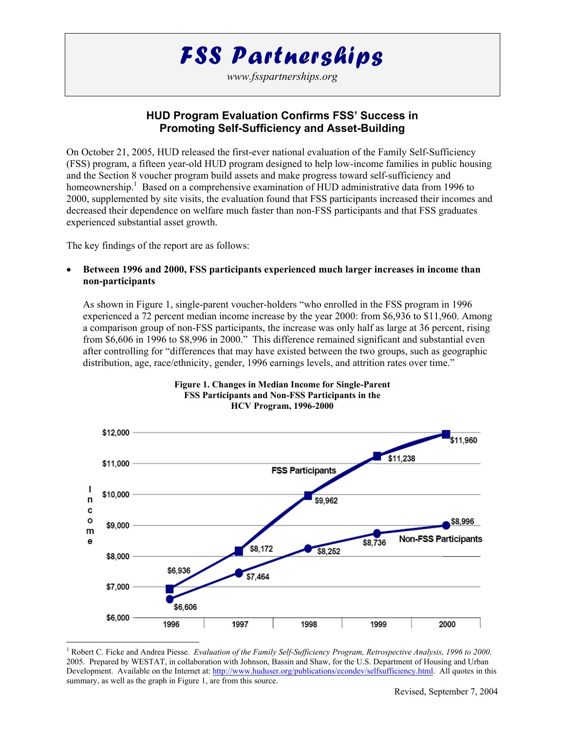# *FSS Partnerships*

*www.fsspartnerships.org* 

## **HUD Program Evaluation Confirms FSS' Success in Promoting Self-Sufficiency and Asset-Building**

On October 21, 2005, HUD released the first-ever national evaluation of the Family Self-Sufficiency (FSS) program, a fifteen year-old HUD program designed to help low-income families in public housing and the Section 8 voucher program build assets and make progress toward self-sufficiency and homeownership.<sup>1</sup> Based on a comprehensive examination of HUD administrative data from 1996 to 2000, supplemented by site visits, the evaluation found that FSS participants increased their incomes and decreased their dependence on welfare much faster than non-FSS participants and that FSS graduates experienced substantial asset growth.

The key findings of the report are as follows:

 $\overline{a}$ 

• **Between 1996 and 2000, FSS participants experienced much larger increases in income than non-participants**

As shown in Figure 1, single-parent voucher-holders "who enrolled in the FSS program in 1996 experienced a 72 percent median income increase by the year 2000: from \$6,936 to \$11,960. Among a comparison group of non-FSS participants, the increase was only half as large at 36 percent, rising from \$6,606 in 1996 to \$8,996 in 2000." This difference remained significant and substantial even after controlling for "differences that may have existed between the two groups, such as geographic distribution, age, race/ethnicity, gender, 1996 earnings levels, and attrition rates over time."



#### **Figure 1. Changes in Median Income for Single-Parent FSS Participants and Non-FSS Participants in the HCV Program, 1996-2000**

<sup>&</sup>lt;sup>1</sup> Robert C. Ficke and Andrea Piesse. *Evaluation of the Family Self-Sufficiency Program, Retrospective Analysis, 1996 to 2000*. 2005. Prepared by WESTAT, in collaboration with Johnson, Bassin and Shaw, for the U.S. Department of Housing and Urban Development. Available on the Internet at: http://www.huduser.org/publications/econdev/selfsufficiency.html. All quotes in this summary, as well as the graph in Figure 1, are from this source.